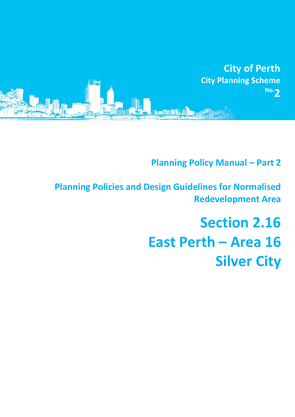

**Planning Policy Manual - Part 2** 

**Planning Policies and Design Guidelines for Normalised Redevelopment Area**

# **Section 2.16 East Perth – Area 16 Silver City**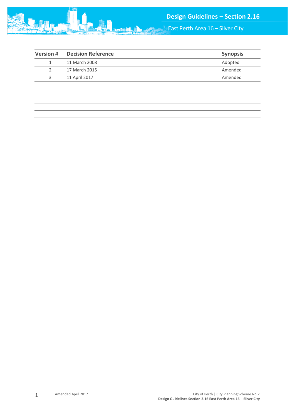

 $\clubsuit$  East Perth Area 16 – Silver City

| <b>Version#</b> | <b>Decision Reference</b> | <b>Synopsis</b> |
|-----------------|---------------------------|-----------------|
|                 | 11 March 2008             | Adopted         |
|                 | 17 March 2015             | Amended         |
| 3               | 11 April 2017             | Amended         |
|                 |                           |                 |
|                 |                           |                 |
|                 |                           |                 |
|                 |                           |                 |
|                 |                           |                 |

mini

1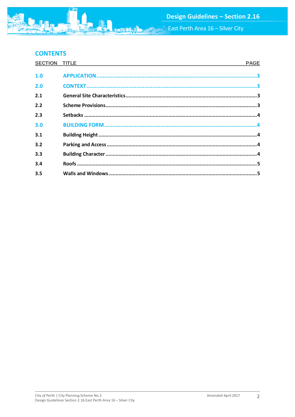East Perth Area 16 – Silver City

# **CONTENTS**

| SECTION TITLE | <b>PAGE</b> |
|---------------|-------------|
| 1.0           |             |
| 2.0           |             |
| 2.1           |             |
| 2.2           |             |
| 2.3           |             |
| 3.0           |             |
| 3.1           |             |
| 3.2           |             |
| 3.3           |             |
| 3.4           |             |
| 3.5           |             |

**ME**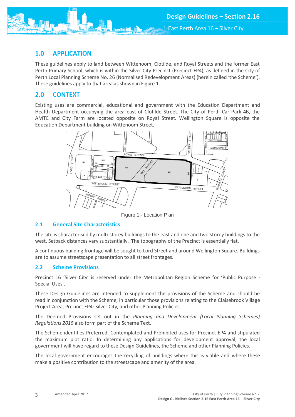<span id="page-3-0"></span>

These guidelines apply to land between Wittenoom, Clotilde, and Royal Streets and the former East Perth Primary School, which is within the Silver City Precinct (Precinct EP4), as defined in the City of Perth Local Planning Scheme No. 26 (Normalised Redevelopment Areas) (herein called 'the Scheme'). These guidelines apply to that area as shown in Figure 1.

## <span id="page-3-1"></span>**2.0 CONTEXT**

Existing uses are commercial, educational and government with the Education Department and Health Department occupying the area east of Clotilde Street. The City of Perth Car Park 4B, the AMTC and City Farm are located opposite on Royal Street. Wellington Square is opposite the Education Department building on Wittenoom Street.



Figure 1:- Location Plan

#### <span id="page-3-2"></span>**2.1 General Site Characteristics**

The site is characterised by multi-storey buildings to the east and one and two storey buildings to the west. Setback distances vary substantially. The topography of the Precinct is essentially flat.

A continuous building frontage will be sought to Lord Street and around Wellington Square. Buildings are to assume streetscape presentation to all street frontages.

#### <span id="page-3-3"></span>**2.2 Scheme Provisions**

Precinct 16 'Silver City' is reserved under the Metropolitan Region Scheme for 'Public Purpose - Special Uses'.

These Design Guidelines are intended to supplement the provisions of the Scheme and should be read in conjunction with the Scheme, in particular those provisions relating to the Claisebrook Village Project Area, Precinct EP4: Silver City, and other Planning Policies.

The Deemed Provisions set out in the *Planning and Development (Local Planning Schemes) Regulations 2015* also form part of the Scheme Text.

The Scheme identifies Preferred, Contemplated and Prohibited uses for Precinct EP4 and stipulated the maximum plot ratio. In determining any applications for development approval, the local government will have regard to these Design Guidelines, the Scheme and other Planning Policies.

<span id="page-3-4"></span>The local government encourages the recycling of buildings where this is viable and where these make a positive contribution to the streetscape and amenity of the area.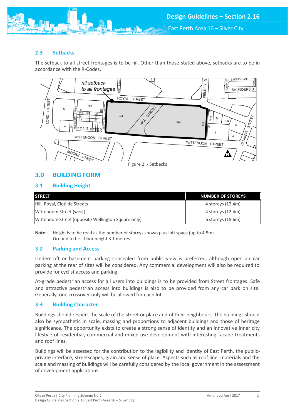# **2.3 Setbacks**

The setback to all street frontages is to be nil. Other than those stated above, setbacks are to be in accordance with the R-Codes.



# <span id="page-4-0"></span>**3.0 BUILDING FORM**

## <span id="page-4-1"></span>**3.1 Building Height**

| <b>STREET</b>                                      | NUMBER OF STOREYS |
|----------------------------------------------------|-------------------|
| Hill, Royal, Clotilde Streets                      | 4 storeys (12.4m) |
| Wittenoom Street (west)                            | 4 storeys (12.4m) |
| Wittenoom Street (opposite Wellington Square only) | 6 storeys (18.6m) |

**Note:** Height is to be read as the number of storeys shown plus loft space (up to 4.5m). Ground to first floor height 3.1 metres.

# <span id="page-4-2"></span>**3.2 Parking and Access**

Undercroft or basement parking concealed from public view is preferred, although open air car parking at the rear of sites will be considered. Any commercial development will also be required to provide for cyclist access and parking.

At-grade pedestrian access for all users into buildings is to be provided from Street frontages. Safe and attractive pedestrian access into buildings is also to be provided from any car park on site. Generally, one crossover only will be allowed for each lot.

## <span id="page-4-3"></span>**3.3 Building Character**

Buildings should respect the scale of the street or place and of their neighbours. The buildings should also be sympathetic in scale, massing and proportions to adjacent buildings and those of heritage significance. The opportunity exists to create a strong sense of identity and an innovative inner city lifestyle of residential, commercial and mixed use development with interesting facade treatments and roof lines.

Buildings will be assessed for the contribution to the legibility and identity of East Perth, the publicprivate interface, streetscapes, grain and sense of place. Aspects such as roof line, materials and the scale and massing of buildings will be carefully considered by the local government in the assessment of development applications.